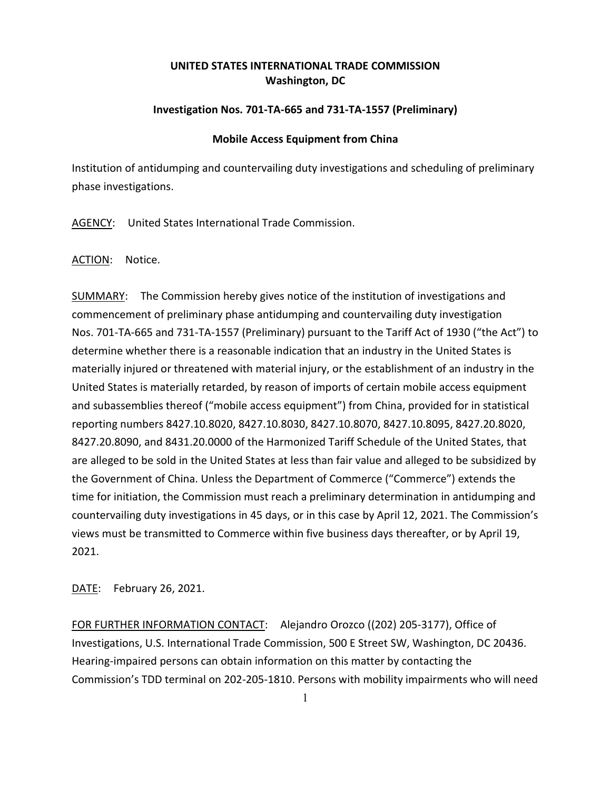## **UNITED STATES INTERNATIONAL TRADE COMMISSION Washington, DC**

## **Investigation Nos. 701-TA-665 and 731-TA-1557 (Preliminary)**

## **Mobile Access Equipment from China**

Institution of antidumping and countervailing duty investigations and scheduling of preliminary phase investigations.

AGENCY: United States International Trade Commission.

ACTION: Notice.

SUMMARY: The Commission hereby gives notice of the institution of investigations and commencement of preliminary phase antidumping and countervailing duty investigation Nos. 701-TA-665 and 731-TA-1557 (Preliminary) pursuant to the Tariff Act of 1930 ("the Act") to determine whether there is a reasonable indication that an industry in the United States is materially injured or threatened with material injury, or the establishment of an industry in the United States is materially retarded, by reason of imports of certain mobile access equipment and subassemblies thereof ("mobile access equipment") from China, provided for in statistical reporting numbers 8427.10.8020, 8427.10.8030, 8427.10.8070, 8427.10.8095, 8427.20.8020, 8427.20.8090, and 8431.20.0000 of the Harmonized Tariff Schedule of the United States, that are alleged to be sold in the United States at less than fair value and alleged to be subsidized by the Government of China. Unless the Department of Commerce ("Commerce") extends the time for initiation, the Commission must reach a preliminary determination in antidumping and countervailing duty investigations in 45 days, or in this case by April 12, 2021. The Commission's views must be transmitted to Commerce within five business days thereafter, or by April 19, 2021.

DATE: February 26, 2021.

FOR FURTHER INFORMATION CONTACT: Alejandro Orozco ((202) 205-3177), Office of Investigations, U.S. International Trade Commission, 500 E Street SW, Washington, DC 20436. Hearing-impaired persons can obtain information on this matter by contacting the Commission's TDD terminal on 202-205-1810. Persons with mobility impairments who will need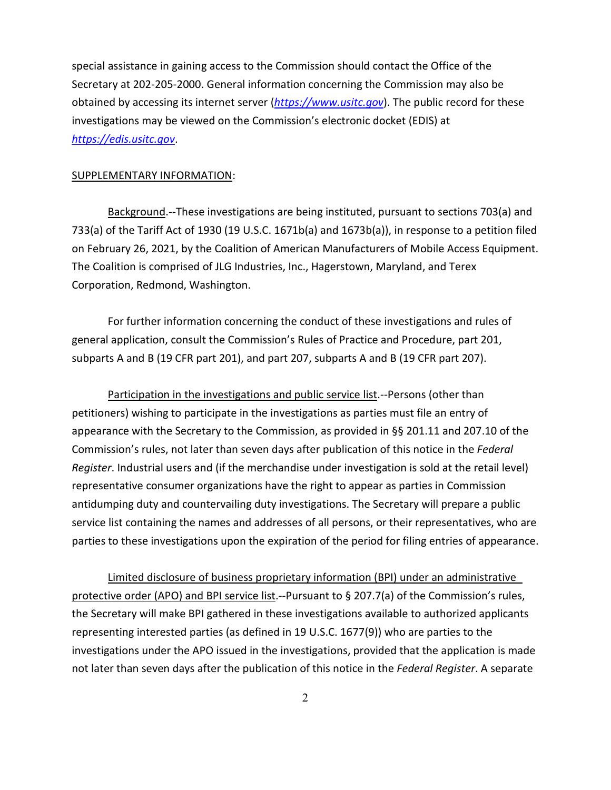special assistance in gaining access to the Commission should contact the Office of the Secretary at 202-205-2000. General information concerning the Commission may also be obtained by accessing its internet server (*[https://www.usitc.gov](https://www.usitc.gov/)*). The public record for these investigations may be viewed on the Commission's electronic docket (EDIS) at *[https://edis.usitc.gov](https://edis.usitc.gov/)*.

## SUPPLEMENTARY INFORMATION:

Background.--These investigations are being instituted, pursuant to sections 703(a) and 733(a) of the Tariff Act of 1930 (19 U.S.C. 1671b(a) and 1673b(a)), in response to a petition filed on February 26, 2021, by the Coalition of American Manufacturers of Mobile Access Equipment. The Coalition is comprised of JLG Industries, Inc., Hagerstown, Maryland, and Terex Corporation, Redmond, Washington.

For further information concerning the conduct of these investigations and rules of general application, consult the Commission's Rules of Practice and Procedure, part 201, subparts A and B (19 CFR part 201), and part 207, subparts A and B (19 CFR part 207).

Participation in the investigations and public service list.--Persons (other than petitioners) wishing to participate in the investigations as parties must file an entry of appearance with the Secretary to the Commission, as provided in §§ 201.11 and 207.10 of the Commission's rules, not later than seven days after publication of this notice in the *Federal Register*. Industrial users and (if the merchandise under investigation is sold at the retail level) representative consumer organizations have the right to appear as parties in Commission antidumping duty and countervailing duty investigations. The Secretary will prepare a public service list containing the names and addresses of all persons, or their representatives, who are parties to these investigations upon the expiration of the period for filing entries of appearance.

Limited disclosure of business proprietary information (BPI) under an administrative protective order (APO) and BPI service list.--Pursuant to § 207.7(a) of the Commission's rules, the Secretary will make BPI gathered in these investigations available to authorized applicants representing interested parties (as defined in 19 U.S.C. 1677(9)) who are parties to the investigations under the APO issued in the investigations, provided that the application is made not later than seven days after the publication of this notice in the *Federal Register*. A separate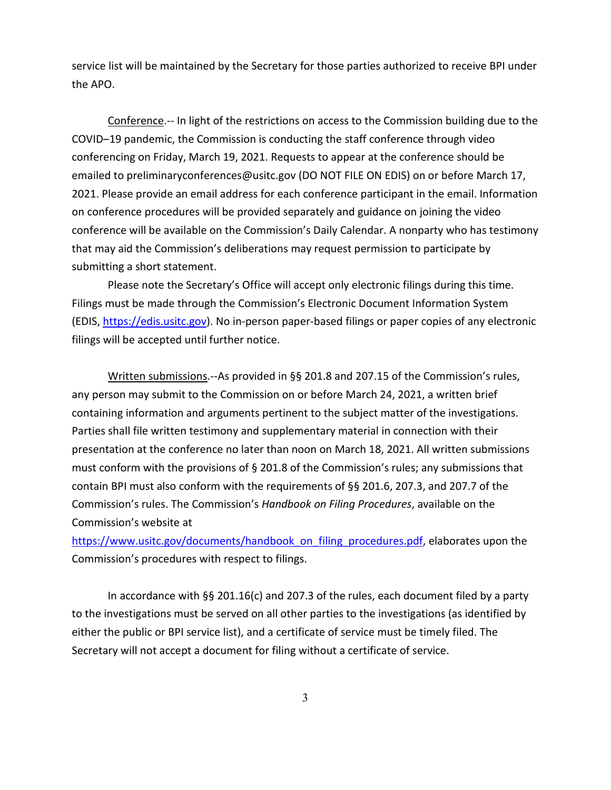service list will be maintained by the Secretary for those parties authorized to receive BPI under the APO.

Conference.-- In light of the restrictions on access to the Commission building due to the COVID–19 pandemic, the Commission is conducting the staff conference through video conferencing on Friday, March 19, 2021. Requests to appear at the conference should be emailed to preliminaryconferences@usitc.gov (DO NOT FILE ON EDIS) on or before March 17, 2021. Please provide an email address for each conference participant in the email. Information on conference procedures will be provided separately and guidance on joining the video conference will be available on the Commission's Daily Calendar. A nonparty who has testimony that may aid the Commission's deliberations may request permission to participate by submitting a short statement.

Please note the Secretary's Office will accept only electronic filings during this time. Filings must be made through the Commission's Electronic Document Information System (EDIS, [https://edis.usitc.gov\)](https://edis.usitc.gov/). No in-person paper-based filings or paper copies of any electronic filings will be accepted until further notice.

Written submissions.--As provided in §§ 201.8 and 207.15 of the Commission's rules, any person may submit to the Commission on or before March 24, 2021, a written brief containing information and arguments pertinent to the subject matter of the investigations. Parties shall file written testimony and supplementary material in connection with their presentation at the conference no later than noon on March 18, 2021. All written submissions must conform with the provisions of  $\S$  201.8 of the Commission's rules; any submissions that contain BPI must also conform with the requirements of §§ 201.6, 207.3, and 207.7 of the Commission's rules. The Commission's *Handbook on Filing Procedures*, available on the Commission's website at

[https://www.usitc.gov/documents/handbook\\_on\\_filing\\_procedures.pdf,](https://www.usitc.gov/documents/handbook_on_filing_procedures.pdf) elaborates upon the Commission's procedures with respect to filings.

In accordance with §§ 201.16(c) and 207.3 of the rules, each document filed by a party to the investigations must be served on all other parties to the investigations (as identified by either the public or BPI service list), and a certificate of service must be timely filed. The Secretary will not accept a document for filing without a certificate of service.